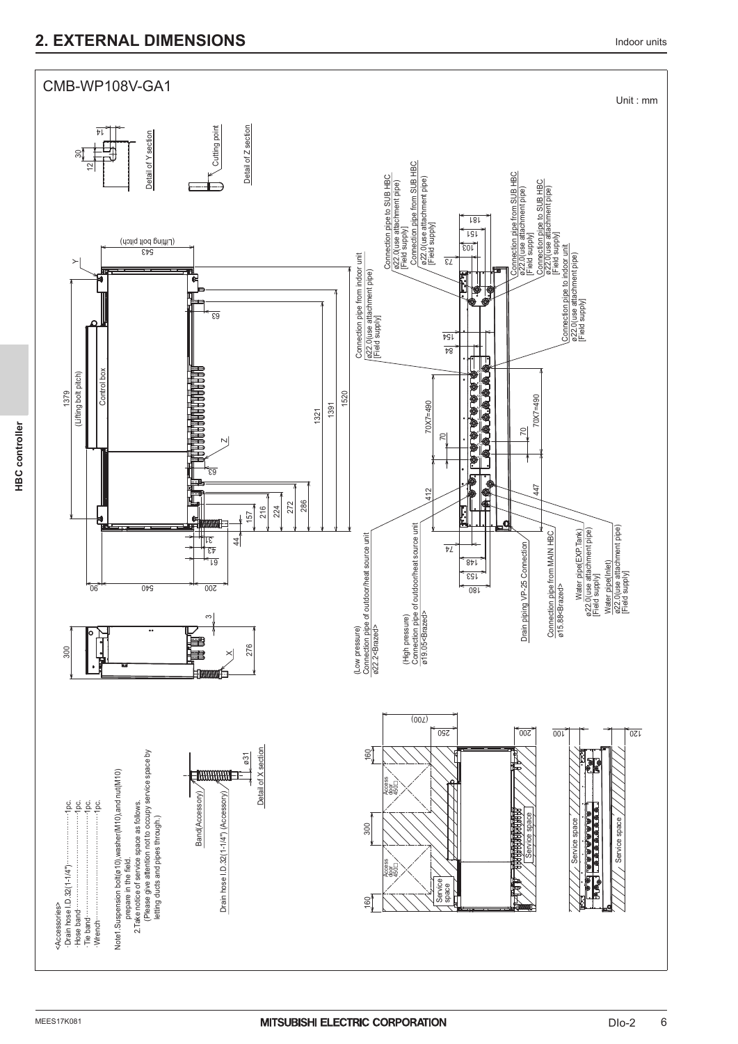## **2. EXTERNAL DIMENSIONS 10000 UNITS 2. EXTERNAL DIMENSIONS**

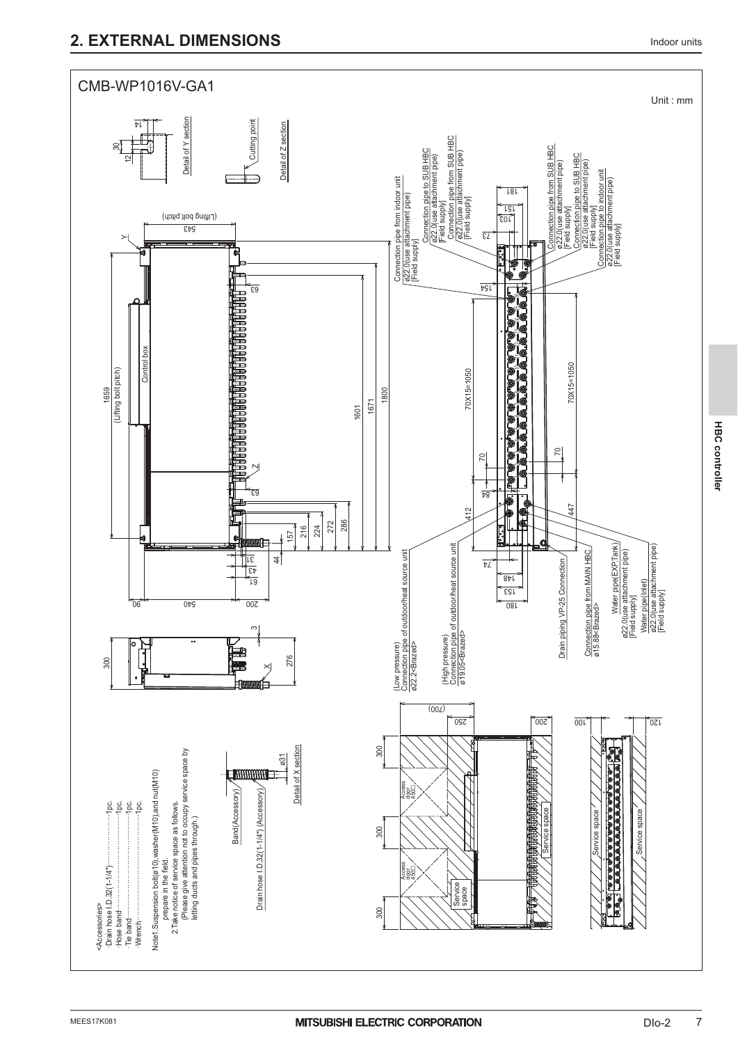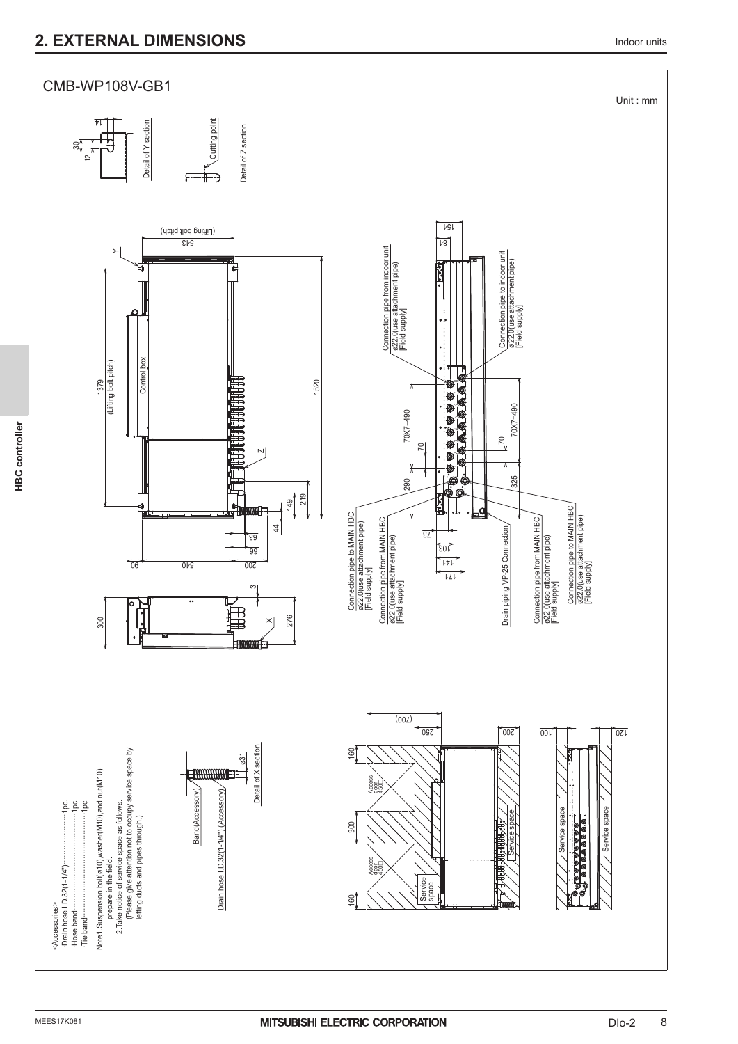## **2. EXTERNAL DIMENSIONS Indoor units**